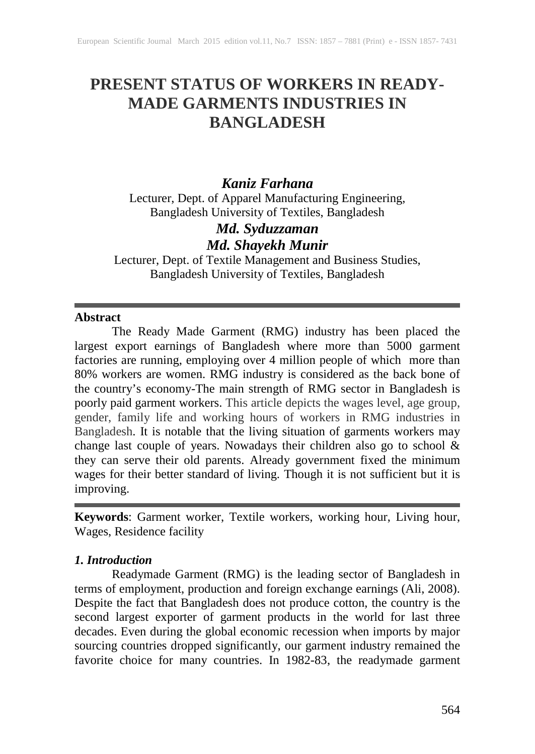# **PRESENT STATUS OF WORKERS IN READY-MADE GARMENTS INDUSTRIES IN BANGLADESH**

# *Kaniz Farhana*

Lecturer, Dept. of Apparel Manufacturing Engineering, Bangladesh University of Textiles, Bangladesh

# *Md. Syduzzaman Md. Shayekh Munir*

Lecturer, Dept. of Textile Management and Business Studies, Bangladesh University of Textiles, Bangladesh

#### **Abstract**

The Ready Made Garment (RMG) industry has been placed the largest export earnings of Bangladesh where more than 5000 garment factories are running, employing over 4 million people of which more than 80% workers are women. RMG industry is considered as the back bone of the country's economy-The main strength of RMG sector in Bangladesh is poorly paid garment workers. This article depicts the wages level, age group, gender, family life and working hours of workers in RMG industries in Bangladesh. It is notable that the living situation of garments workers may change last couple of years. Nowadays their children also go to school & they can serve their old parents. Already government fixed the minimum wages for their better standard of living. Though it is not sufficient but it is improving.

**Keywords**: Garment worker, Textile workers, working hour, Living hour, Wages, Residence facility

#### *1. Introduction*

Readymade Garment (RMG) is the leading sector of Bangladesh in terms of employment, production and foreign exchange earnings (Ali, 2008). Despite the fact that Bangladesh does not produce cotton, the country is the second largest exporter of garment products in the world for last three decades. Even during the global economic recession when imports by major sourcing countries dropped significantly, our garment industry remained the favorite choice for many countries. In 1982-83, the readymade garment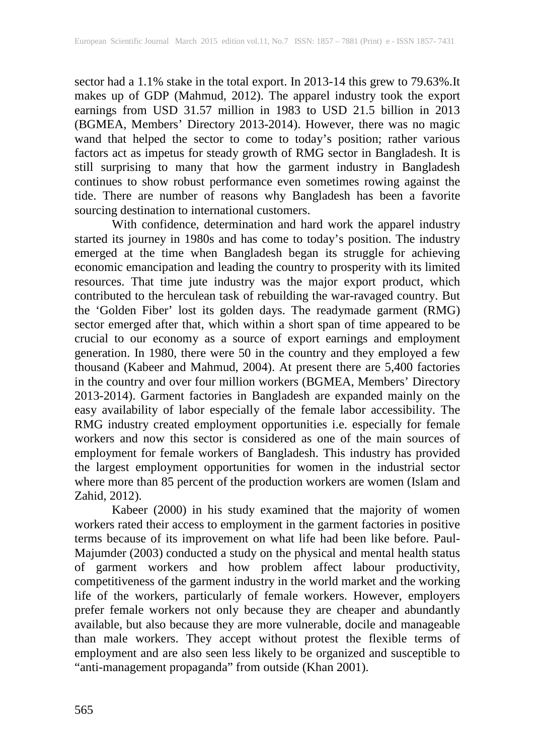sector had a 1.1% stake in the total export. In 2013-14 this grew to 79.63%.It makes up of GDP (Mahmud, 2012). The apparel industry took the export earnings from USD 31.57 million in 1983 to USD 21.5 billion in 2013 (BGMEA, Members' Directory 2013-2014). However, there was no magic wand that helped the sector to come to today's position; rather various factors act as impetus for steady growth of RMG sector in Bangladesh. It is still surprising to many that how the garment industry in Bangladesh continues to show robust performance even sometimes rowing against the tide. There are number of reasons why Bangladesh has been a favorite sourcing destination to international customers.

With confidence, determination and hard work the apparel industry started its journey in 1980s and has come to today's position. The industry emerged at the time when Bangladesh began its struggle for achieving economic emancipation and leading the country to prosperity with its limited resources. That time jute industry was the major export product, which contributed to the herculean task of rebuilding the war-ravaged country. But the 'Golden Fiber' lost its golden days. The readymade garment (RMG) sector emerged after that, which within a short span of time appeared to be crucial to our economy as a source of export earnings and employment generation. In 1980, there were 50 in the country and they employed a few thousand (Kabeer and Mahmud, 2004). At present there are 5,400 factories in the country and over four million workers (BGMEA, Members' Directory 2013-2014). Garment factories in Bangladesh are expanded mainly on the easy availability of labor especially of the female labor accessibility. The RMG industry created employment opportunities i.e. especially for female workers and now this sector is considered as one of the main sources of employment for female workers of Bangladesh. This industry has provided the largest employment opportunities for women in the industrial sector where more than 85 percent of the production workers are women (Islam and Zahid, 2012).

Kabeer (2000) in his study examined that the majority of women workers rated their access to employment in the garment factories in positive terms because of its improvement on what life had been like before. Paul-Majumder (2003) conducted a study on the physical and mental health status of garment workers and how problem affect labour productivity, competitiveness of the garment industry in the world market and the working life of the workers, particularly of female workers. However, employers prefer female workers not only because they are cheaper and abundantly available, but also because they are more vulnerable, docile and manageable than male workers. They accept without protest the flexible terms of employment and are also seen less likely to be organized and susceptible to "anti-management propaganda" from outside (Khan 2001).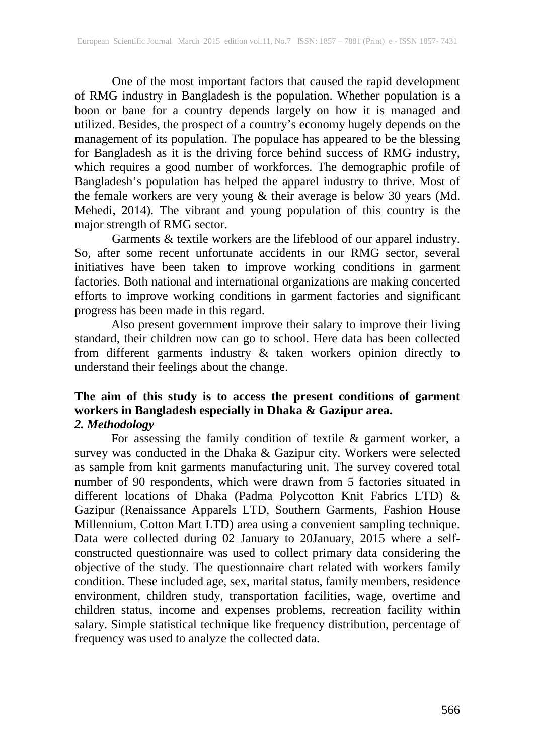One of the most important factors that caused the rapid development of RMG industry in Bangladesh is the population. Whether population is a boon or bane for a country depends largely on how it is managed and utilized. Besides, the prospect of a country's economy hugely depends on the management of its population. The populace has appeared to be the blessing for Bangladesh as it is the driving force behind success of RMG industry, which requires a good number of workforces. The demographic profile of Bangladesh's population has helped the apparel industry to thrive. Most of the female workers are very young & their average is below 30 years (Md. Mehedi, 2014). The vibrant and young population of this country is the major strength of RMG sector.

Garments & textile workers are the lifeblood of our apparel industry. So, after some recent unfortunate accidents in our RMG sector, several initiatives have been taken to improve working conditions in garment factories. Both national and international organizations are making concerted efforts to improve working conditions in garment factories and significant progress has been made in this regard.

Also present government improve their salary to improve their living standard, their children now can go to school. Here data has been collected from different garments industry & taken workers opinion directly to understand their feelings about the change.

# **The aim of this study is to access the present conditions of garment workers in Bangladesh especially in Dhaka & Gazipur area.** *2. Methodology*

For assessing the family condition of textile & garment worker, a survey was conducted in the Dhaka & Gazipur city. Workers were selected as sample from knit garments manufacturing unit. The survey covered total number of 90 respondents, which were drawn from 5 factories situated in different locations of Dhaka (Padma Polycotton Knit Fabrics LTD) & Gazipur (Renaissance Apparels LTD, Southern Garments, Fashion House Millennium, Cotton Mart LTD) area using a convenient sampling technique. Data were collected during 02 January to 20January, 2015 where a selfconstructed questionnaire was used to collect primary data considering the objective of the study. The questionnaire chart related with workers family condition. These included age, sex, marital status, family members, residence environment, children study, transportation facilities, wage, overtime and children status, income and expenses problems, recreation facility within salary. Simple statistical technique like frequency distribution, percentage of frequency was used to analyze the collected data.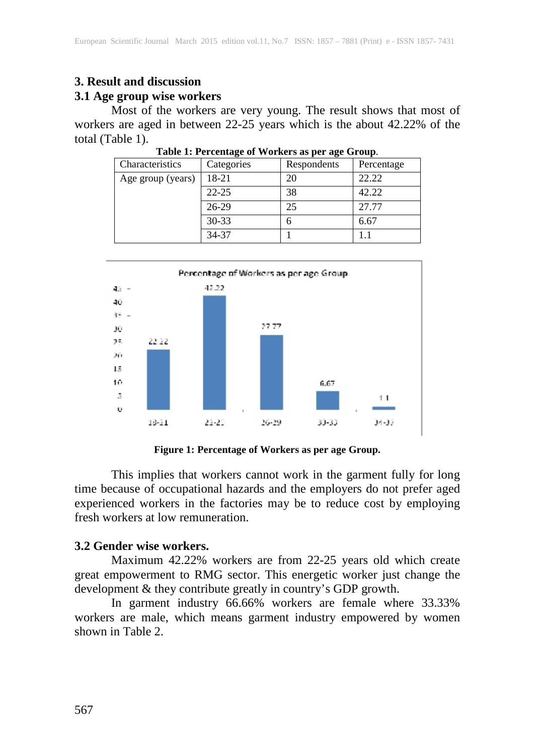# **3. Result and discussion**

### **3.1 Age group wise workers**

Most of the workers are very young. The result shows that most of workers are aged in between 22-25 years which is the about 42.22% of the total (Table 1).

| Characteristics   | Categories | Respondents | Percentage |
|-------------------|------------|-------------|------------|
| Age group (years) | 18-21      | 20          | 22.22      |
|                   | $22 - 25$  | 38          | 42.22      |
|                   | 26-29      | 25          | 27.77      |
|                   | $30 - 33$  | h           | 6.67       |
|                   | 34-37      |             |            |

**Table 1: Percentage of Workers as per age Group**.



**Figure 1: Percentage of Workers as per age Group.**

This implies that workers cannot work in the garment fully for long time because of occupational hazards and the employers do not prefer aged experienced workers in the factories may be to reduce cost by employing fresh workers at low remuneration.

#### **3.2 Gender wise workers.**

Maximum 42.22% workers are from 22-25 years old which create great empowerment to RMG sector. This energetic worker just change the development & they contribute greatly in country's GDP growth.

In garment industry 66.66% workers are female where 33.33% workers are male, which means garment industry empowered by women shown in Table 2.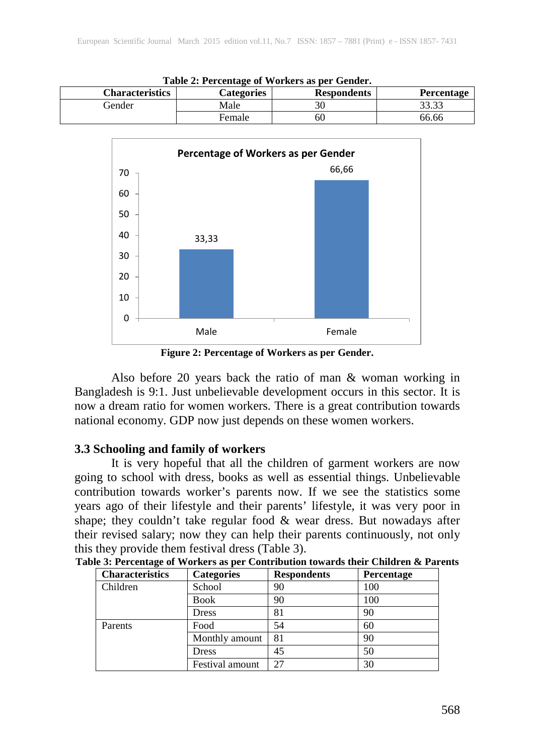| Table 2: Percentage of Workers as per Gender.                                   |        |    |       |  |  |
|---------------------------------------------------------------------------------|--------|----|-------|--|--|
| <b>Respondents</b><br><b>Characteristics</b><br><b>Percentage</b><br>Categories |        |    |       |  |  |
| Gender                                                                          | Male   |    | 33.33 |  |  |
|                                                                                 | Female | 60 | 66.66 |  |  |



**Figure 2: Percentage of Workers as per Gender.**

Also before 20 years back the ratio of man & woman working in Bangladesh is 9:1. Just unbelievable development occurs in this sector. It is now a dream ratio for women workers. There is a great contribution towards national economy. GDP now just depends on these women workers.

#### **3.3 Schooling and family of workers**

It is very hopeful that all the children of garment workers are now going to school with dress, books as well as essential things. Unbelievable contribution towards worker's parents now. If we see the statistics some years ago of their lifestyle and their parents' lifestyle, it was very poor in shape; they couldn't take regular food & wear dress. But nowadays after their revised salary; now they can help their parents continuously, not only this they provide them festival dress (Table 3).

| <b>Characteristics</b> | <b>Categories</b> | <b>Respondents</b> | Percentage |
|------------------------|-------------------|--------------------|------------|
| Children               | School            | 90                 | 100        |
|                        | <b>Book</b>       | 90                 | 100        |
|                        | <b>Dress</b>      | 81                 | 90         |
| Parents                | Food              | 54                 | 60         |
|                        | Monthly amount    | 81                 | 90         |
|                        | <b>Dress</b>      | 45                 | 50         |
|                        | Festival amount   | 27                 | 30         |

| Table 3: Percentage of Workers as per Contribution towards their Children & Parents |  |  |  |
|-------------------------------------------------------------------------------------|--|--|--|
|                                                                                     |  |  |  |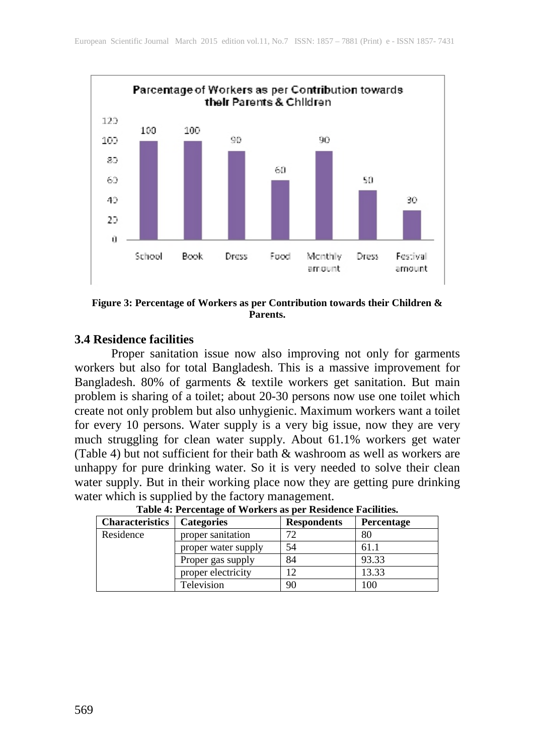

**Figure 3: Percentage of Workers as per Contribution towards their Children & Parents.**

#### **3.4 Residence facilities**

Proper sanitation issue now also improving not only for garments workers but also for total Bangladesh. This is a massive improvement for Bangladesh. 80% of garments & textile workers get sanitation. But main problem is sharing of a toilet; about 20-30 persons now use one toilet which create not only problem but also unhygienic. Maximum workers want a toilet for every 10 persons. Water supply is a very big issue, now they are very much struggling for clean water supply. About 61.1% workers get water (Table 4) but not sufficient for their bath & washroom as well as workers are unhappy for pure drinking water. So it is very needed to solve their clean water supply. But in their working place now they are getting pure drinking water which is supplied by the factory management.

| <b>Characteristics</b> | <b>Categories</b>   | <b>Respondents</b> | Percentage |
|------------------------|---------------------|--------------------|------------|
| Residence              | proper sanitation   | 72                 | 80         |
|                        | proper water supply | 54                 | 61.1       |
|                        | Proper gas supply   | 84                 | 93.33      |
|                        | proper electricity  | 12                 | 13.33      |
|                        | Television          | 90                 | 100        |

**Table 4: Percentage of Workers as per Residence Facilities.**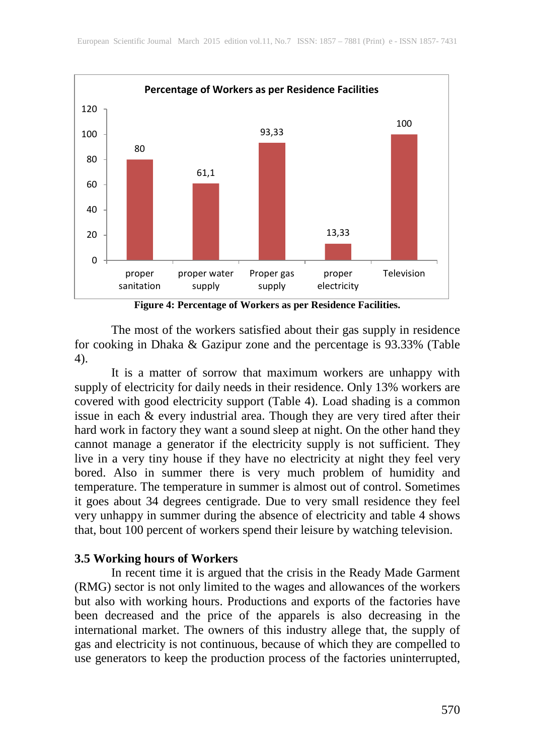

**Figure 4: Percentage of Workers as per Residence Facilities.**

The most of the workers satisfied about their gas supply in residence for cooking in Dhaka & Gazipur zone and the percentage is 93.33% (Table 4).

It is a matter of sorrow that maximum workers are unhappy with supply of electricity for daily needs in their residence. Only 13% workers are covered with good electricity support (Table 4). Load shading is a common issue in each & every industrial area. Though they are very tired after their hard work in factory they want a sound sleep at night. On the other hand they cannot manage a generator if the electricity supply is not sufficient. They live in a very tiny house if they have no electricity at night they feel very bored. Also in summer there is very much problem of humidity and temperature. The temperature in summer is almost out of control. Sometimes it goes about 34 degrees centigrade. Due to very small residence they feel very unhappy in summer during the absence of electricity and table 4 shows that, bout 100 percent of workers spend their leisure by watching television.

#### **3.5 Working hours of Workers**

In recent time it is argued that the crisis in the Ready Made Garment (RMG) sector is not only limited to the wages and allowances of the workers but also with working hours. Productions and exports of the factories have been decreased and the price of the apparels is also decreasing in the international market. The owners of this industry allege that, the supply of gas and electricity is not continuous, because of which they are compelled to use generators to keep the production process of the factories uninterrupted,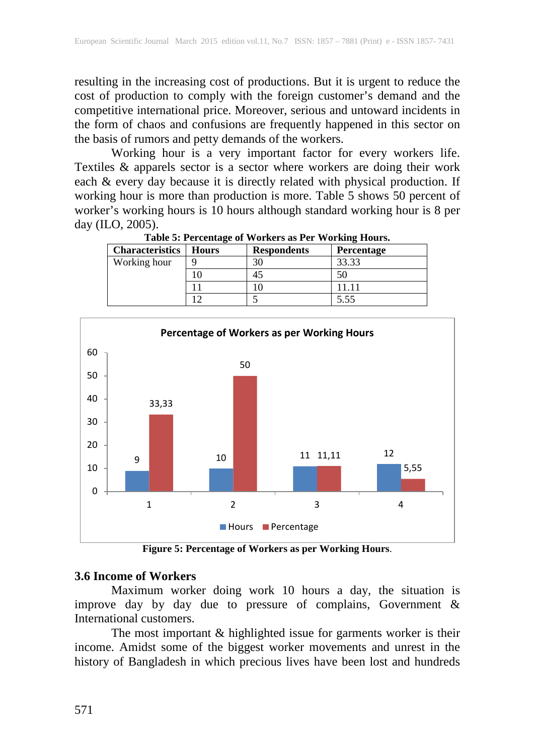resulting in the increasing cost of productions. But it is urgent to reduce the cost of production to comply with the foreign customer's demand and the competitive international price. Moreover, serious and untoward incidents in the form of chaos and confusions are frequently happened in this sector on the basis of rumors and petty demands of the workers.

Working hour is a very important factor for every workers life. Textiles & apparels sector is a sector where workers are doing their work each & every day because it is directly related with physical production. If working hour is more than production is more. Table 5 shows 50 percent of worker's working hours is 10 hours although standard working hour is 8 per day (ILO, 2005).

| THOICE. THE COMMON OF THE COMMON HOTELS TO CHANGE THE COMMON |              |                    |                   |  |
|--------------------------------------------------------------|--------------|--------------------|-------------------|--|
| <b>Characteristics</b>                                       | <b>Hours</b> | <b>Respondents</b> | <b>Percentage</b> |  |
| Working hour                                                 |              | 30                 | 33.33             |  |
|                                                              |              |                    |                   |  |
|                                                              |              |                    | 11.11             |  |
|                                                              |              |                    | 5.55              |  |
|                                                              |              |                    |                   |  |

**Table 5: Percentage of Workers as Per Working Hours.**



**Figure 5: Percentage of Workers as per Working Hours**.

#### **3.6 Income of Workers**

Maximum worker doing work 10 hours a day, the situation is improve day by day due to pressure of complains, Government & International customers.

The most important & highlighted issue for garments worker is their income. Amidst some of the biggest worker movements and unrest in the history of Bangladesh in which precious lives have been lost and hundreds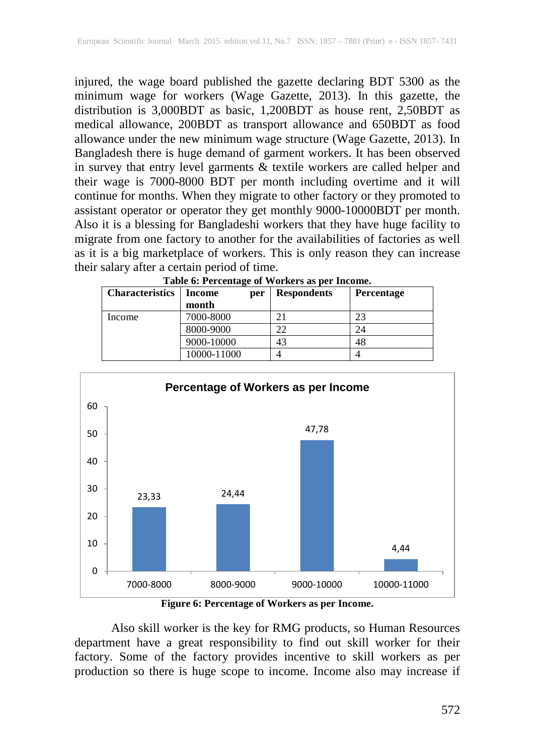injured, the wage board published the gazette declaring BDT 5300 as the minimum wage for workers (Wage Gazette, 2013). In this gazette, the distribution is 3,000BDT as basic, 1,200BDT as house rent, 2,50BDT as medical allowance, 200BDT as transport allowance and 650BDT as food allowance under the new minimum wage structure (Wage Gazette, 2013). In Bangladesh there is huge demand of garment workers. It has been observed in survey that entry level garments & textile workers are called helper and their wage is 7000-8000 BDT per month including overtime and it will continue for months. When they migrate to other factory or they promoted to assistant operator or operator they get monthly 9000-10000BDT per month. Also it is a blessing for Bangladeshi workers that they have huge facility to migrate from one factory to another for the availabilities of factories as well as it is a big marketplace of workers. This is only reason they can increase their salary after a certain period of time.

| Table 0. I creditage of Workers as per income. |               |                    |                   |  |
|------------------------------------------------|---------------|--------------------|-------------------|--|
| <b>Characteristics</b>                         | Income<br>per | <b>Respondents</b> | <b>Percentage</b> |  |
|                                                | month         |                    |                   |  |
| Income                                         | 7000-8000     | 21                 | 23                |  |
|                                                | 8000-9000     | 22                 | 24                |  |
|                                                | 9000-10000    | 43                 | 48                |  |
|                                                | 10000-11000   |                    |                   |  |

**Table 6: Percentage of Workers as per Income.**



**Figure 6: Percentage of Workers as per Income.**

Also skill worker is the key for RMG products, so Human Resources department have a great responsibility to find out skill worker for their factory. Some of the factory provides incentive to skill workers as per production so there is huge scope to income. Income also may increase if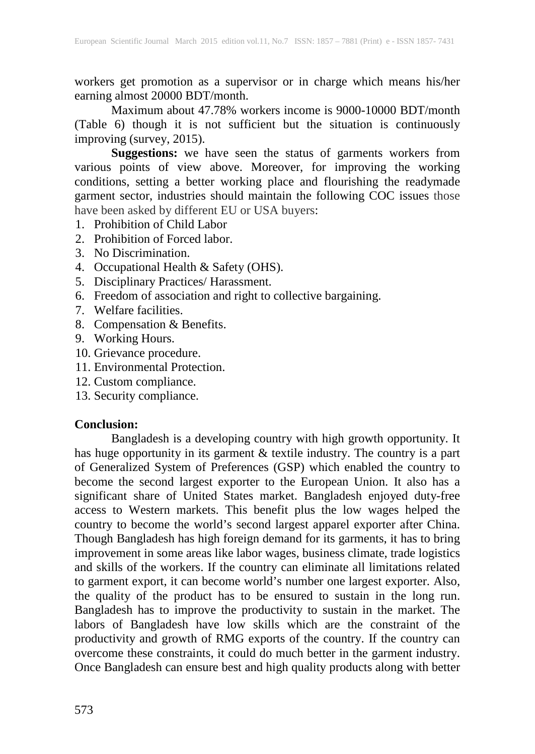workers get promotion as a supervisor or in charge which means his/her earning almost 20000 BDT/month.

Maximum about 47.78% workers income is 9000-10000 BDT/month (Table 6) though it is not sufficient but the situation is continuously improving (survey, 2015).

**Suggestions:** we have seen the status of garments workers from various points of view above. Moreover, for improving the working conditions, setting a better working place and flourishing the readymade garment sector, industries should maintain the following COC issues those have been asked by different EU or USA buyers:

- 1. Prohibition of Child Labor
- 2. Prohibition of Forced labor.
- 3. No Discrimination.
- 4. Occupational Health & Safety (OHS).
- 5. Disciplinary Practices/ Harassment.
- 6. Freedom of association and right to collective bargaining.
- 7. Welfare facilities.
- 8. Compensation & Benefits.
- 9. Working Hours.
- 10. Grievance procedure.
- 11. Environmental Protection.
- 12. Custom compliance.
- 13. Security compliance.

# **Conclusion:**

Bangladesh is a developing country with high growth opportunity. It has huge opportunity in its garment & textile industry. The country is a part of Generalized System of Preferences (GSP) which enabled the country to become the second largest exporter to the European Union. It also has a significant share of United States market. Bangladesh enjoyed duty-free access to Western markets. This benefit plus the low wages helped the country to become the world's second largest apparel exporter after China. Though Bangladesh has high foreign demand for its garments, it has to bring improvement in some areas like labor wages, business climate, trade logistics and skills of the workers. If the country can eliminate all limitations related to garment export, it can become world's number one largest exporter. Also, the quality of the product has to be ensured to sustain in the long run. Bangladesh has to improve the productivity to sustain in the market. The labors of Bangladesh have low skills which are the constraint of the productivity and growth of RMG exports of the country. If the country can overcome these constraints, it could do much better in the garment industry. Once Bangladesh can ensure best and high quality products along with better